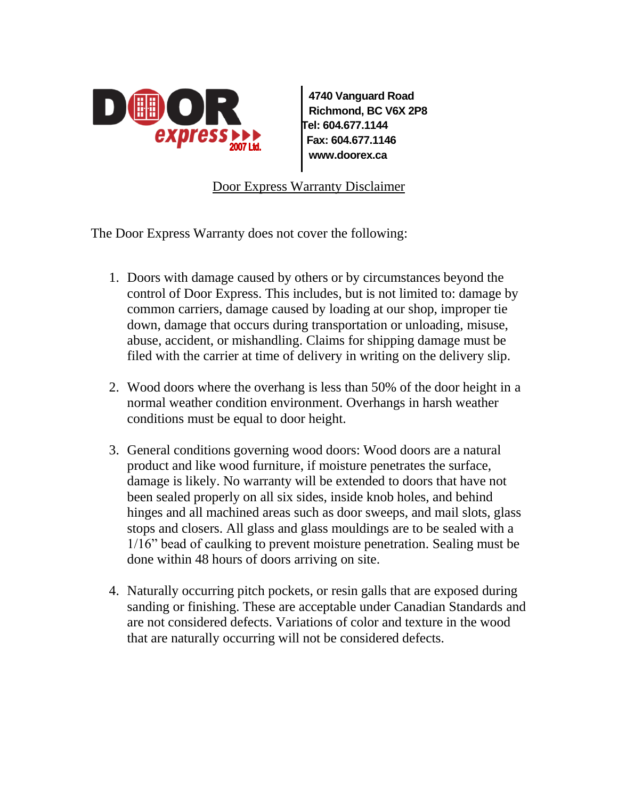

**4740 Vanguard Road Richmond, BC V6X 2P8 Tel: 604.677.1144 Fax: 604.677.1146 www.doorex.ca**

Door Express Warranty Disclaimer

The Door Express Warranty does not cover the following:

- 1. Doors with damage caused by others or by circumstances beyond the control of Door Express. This includes, but is not limited to: damage by common carriers, damage caused by loading at our shop, improper tie down, damage that occurs during transportation or unloading, misuse, abuse, accident, or mishandling. Claims for shipping damage must be filed with the carrier at time of delivery in writing on the delivery slip.
- 2. Wood doors where the overhang is less than 50% of the door height in a normal weather condition environment. Overhangs in harsh weather conditions must be equal to door height.
- 3. General conditions governing wood doors: Wood doors are a natural product and like wood furniture, if moisture penetrates the surface, damage is likely. No warranty will be extended to doors that have not been sealed properly on all six sides, inside knob holes, and behind hinges and all machined areas such as door sweeps, and mail slots, glass stops and closers. All glass and glass mouldings are to be sealed with a 1/16" bead of caulking to prevent moisture penetration. Sealing must be done within 48 hours of doors arriving on site.
- 4. Naturally occurring pitch pockets, or resin galls that are exposed during sanding or finishing. These are acceptable under Canadian Standards and are not considered defects. Variations of color and texture in the wood that are naturally occurring will not be considered defects.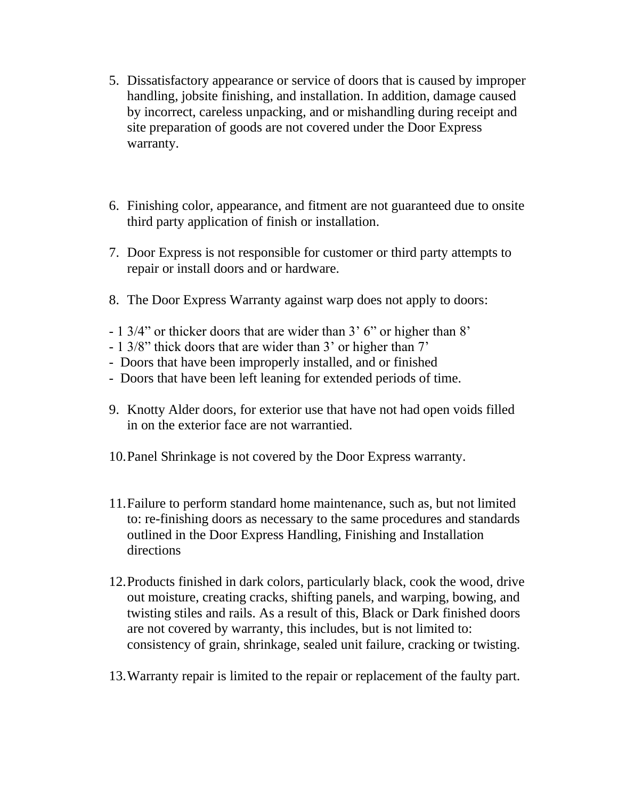- 5. Dissatisfactory appearance or service of doors that is caused by improper handling, jobsite finishing, and installation. In addition, damage caused by incorrect, careless unpacking, and or mishandling during receipt and site preparation of goods are not covered under the Door Express warranty.
- 6. Finishing color, appearance, and fitment are not guaranteed due to onsite third party application of finish or installation.
- 7. Door Express is not responsible for customer or third party attempts to repair or install doors and or hardware.
- 8. The Door Express Warranty against warp does not apply to doors:
- 1 3/4" or thicker doors that are wider than 3' 6" or higher than 8'
- 1 3/8" thick doors that are wider than 3' or higher than 7'
- Doors that have been improperly installed, and or finished
- Doors that have been left leaning for extended periods of time.
- 9. Knotty Alder doors, for exterior use that have not had open voids filled in on the exterior face are not warrantied.
- 10.Panel Shrinkage is not covered by the Door Express warranty.
- 11.Failure to perform standard home maintenance, such as, but not limited to: re-finishing doors as necessary to the same procedures and standards outlined in the Door Express Handling, Finishing and Installation directions
- 12.Products finished in dark colors, particularly black, cook the wood, drive out moisture, creating cracks, shifting panels, and warping, bowing, and twisting stiles and rails. As a result of this, Black or Dark finished doors are not covered by warranty, this includes, but is not limited to: consistency of grain, shrinkage, sealed unit failure, cracking or twisting.
- 13.Warranty repair is limited to the repair or replacement of the faulty part.